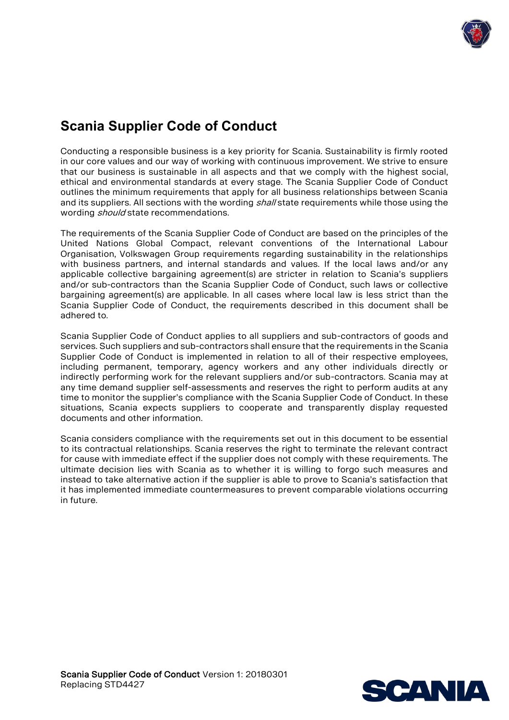

# **Scania Supplier Code of Conduct**

Conducting a responsible business is a key priority for Scania. Sustainability is firmly rooted in our core values and our way of working with continuous improvement. We strive to ensure that our business is sustainable in all aspects and that we comply with the highest social, ethical and environmental standards at every stage. The Scania Supplier Code of Conduct outlines the minimum requirements that apply for all business relationships between Scania and its suppliers. All sections with the wording shall state requirements while those using the wording *should* state recommendations.

The requirements of the Scania Supplier Code of Conduct are based on the principles of the United Nations Global Compact, relevant conventions of the International Labour Organisation, Volkswagen Group requirements regarding sustainability in the relationships with business partners, and internal standards and values. If the local laws and/or any applicable collective bargaining agreement(s) are stricter in relation to Scania's suppliers and/or sub-contractors than the Scania Supplier Code of Conduct, such laws or collective bargaining agreement(s) are applicable. In all cases where local law is less strict than the Scania Supplier Code of Conduct, the requirements described in this document shall be adhered to.

Scania Supplier Code of Conduct applies to all suppliers and sub-contractors of goods and services. Such suppliers and sub-contractors shall ensure that the requirements in the Scania Supplier Code of Conduct is implemented in relation to all of their respective employees, including permanent, temporary, agency workers and any other individuals directly or indirectly performing work for the relevant suppliers and/or sub-contractors. Scania may at any time demand supplier self-assessments and reserves the right to perform audits at any time to monitor the supplier's compliance with the Scania Supplier Code of Conduct. In these situations, Scania expects suppliers to cooperate and transparently display requested documents and other information.

Scania considers compliance with the requirements set out in this document to be essential to its contractual relationships. Scania reserves the right to terminate the relevant contract for cause with immediate effect if the supplier does not comply with these requirements. The ultimate decision lies with Scania as to whether it is willing to forgo such measures and instead to take alternative action if the supplier is able to prove to Scania's satisfaction that it has implemented immediate countermeasures to prevent comparable violations occurring in future.

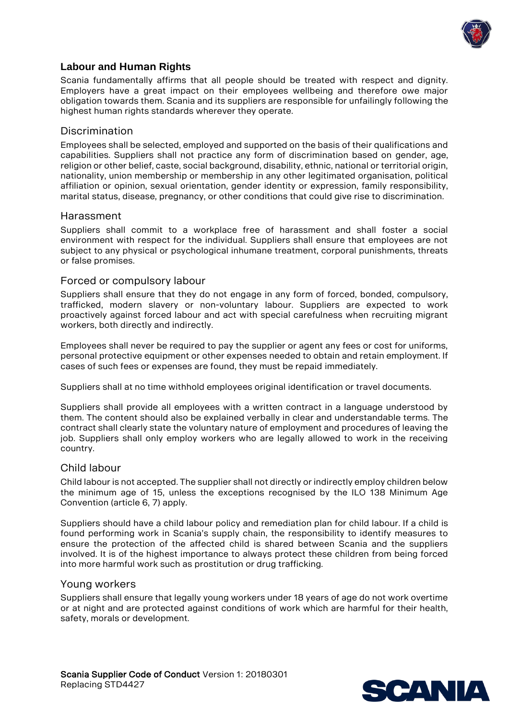

# **Labour and Human Rights**

Scania fundamentally affirms that all people should be treated with respect and dignity. Employers have a great impact on their employees wellbeing and therefore owe major obligation towards them. Scania and its suppliers are responsible for unfailingly following the highest human rights standards wherever they operate.

#### Discrimination

Employees shall be selected, employed and supported on the basis of their qualifications and capabilities. Suppliers shall not practice any form of discrimination based on gender, age, religion or other belief, caste, social background, disability, ethnic, national or territorial origin, nationality, union membership or membership in any other legitimated organisation, political affiliation or opinion, sexual orientation, gender identity or expression, family responsibility, marital status, disease, pregnancy, or other conditions that could give rise to discrimination.

#### Harassment

Suppliers shall commit to a workplace free of harassment and shall foster a social environment with respect for the individual. Suppliers shall ensure that employees are not subject to any physical or psychological inhumane treatment, corporal punishments, threats or false promises.

#### Forced or compulsory labour

Suppliers shall ensure that they do not engage in any form of forced, bonded, compulsory, trafficked, modern slavery or non-voluntary labour. Suppliers are expected to work proactively against forced labour and act with special carefulness when recruiting migrant workers, both directly and indirectly.

Employees shall never be required to pay the supplier or agent any fees or cost for uniforms, personal protective equipment or other expenses needed to obtain and retain employment. If cases of such fees or expenses are found, they must be repaid immediately.

Suppliers shall at no time withhold employees original identification or travel documents.

Suppliers shall provide all employees with a written contract in a language understood by them. The content should also be explained verbally in clear and understandable terms. The contract shall clearly state the voluntary nature of employment and procedures of leaving the job. Suppliers shall only employ workers who are legally allowed to work in the receiving country.

#### Child labour

Child labour is not accepted. The supplier shall not directly or indirectly employ children below the minimum age of 15, unless the exceptions recognised by the ILO 138 Minimum Age Convention (article 6, 7) apply.

Suppliers should have a child labour policy and remediation plan for child labour. If a child is found performing work in Scania's supply chain, the responsibility to identify measures to ensure the protection of the affected child is shared between Scania and the suppliers involved. It is of the highest importance to always protect these children from being forced into more harmful work such as prostitution or drug trafficking.

#### Young workers

Suppliers shall ensure that legally young workers under 18 years of age do not work overtime or at night and are protected against conditions of work which are harmful for their health, safety, morals or development.

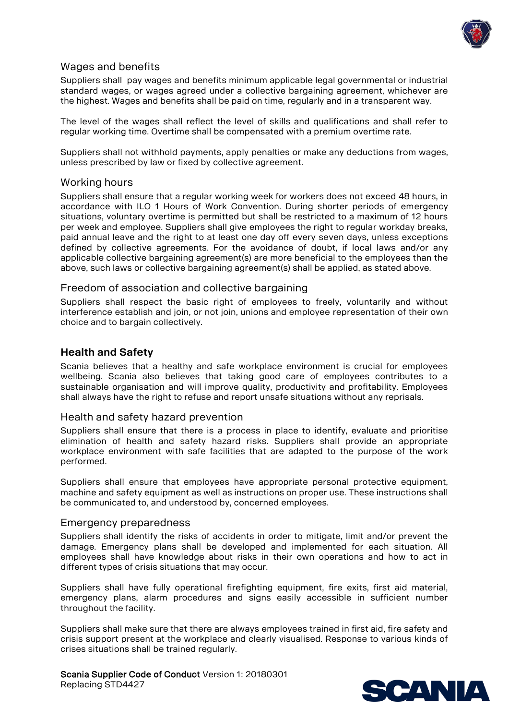

# Wages and benefits

Suppliers shall pay wages and benefits minimum applicable legal governmental or industrial standard wages, or wages agreed under a collective bargaining agreement, whichever are the highest. Wages and benefits shall be paid on time, regularly and in a transparent way.

The level of the wages shall reflect the level of skills and qualifications and shall refer to regular working time. Overtime shall be compensated with a premium overtime rate.

Suppliers shall not withhold payments, apply penalties or make any deductions from wages, unless prescribed by law or fixed by collective agreement.

#### Working hours

Suppliers shall ensure that a regular working week for workers does not exceed 48 hours, in accordance with ILO 1 Hours of Work Convention. During shorter periods of emergency situations, voluntary overtime is permitted but shall be restricted to a maximum of 12 hours per week and employee. Suppliers shall give employees the right to regular workday breaks, paid annual leave and the right to at least one day off every seven days, unless exceptions defined by collective agreements. For the avoidance of doubt, if local laws and/or any applicable collective bargaining agreement(s) are more beneficial to the employees than the above, such laws or collective bargaining agreement(s) shall be applied, as stated above.

#### Freedom of association and collective bargaining

Suppliers shall respect the basic right of employees to freely, voluntarily and without interference establish and join, or not join, unions and employee representation of their own choice and to bargain collectively.

## **Health and Safety**

Scania believes that a healthy and safe workplace environment is crucial for employees wellbeing. Scania also believes that taking good care of employees contributes to a sustainable organisation and will improve quality, productivity and profitability. Employees shall always have the right to refuse and report unsafe situations without any reprisals.

#### Health and safety hazard prevention

Suppliers shall ensure that there is a process in place to identify, evaluate and prioritise elimination of health and safety hazard risks. Suppliers shall provide an appropriate workplace environment with safe facilities that are adapted to the purpose of the work performed.

Suppliers shall ensure that employees have appropriate personal protective equipment, machine and safety equipment as well as instructions on proper use. These instructions shall be communicated to, and understood by, concerned employees.

#### Emergency preparedness

Suppliers shall identify the risks of accidents in order to mitigate, limit and/or prevent the damage. Emergency plans shall be developed and implemented for each situation. All employees shall have knowledge about risks in their own operations and how to act in different types of crisis situations that may occur.

Suppliers shall have fully operational firefighting equipment, fire exits, first aid material, emergency plans, alarm procedures and signs easily accessible in sufficient number throughout the facility.

Suppliers shall make sure that there are always employees trained in first aid, fire safety and crisis support present at the workplace and clearly visualised. Response to various kinds of crises situations shall be trained regularly.

Scania Supplier Code of Conduct Version 1: 20180301 Replacing STD4427

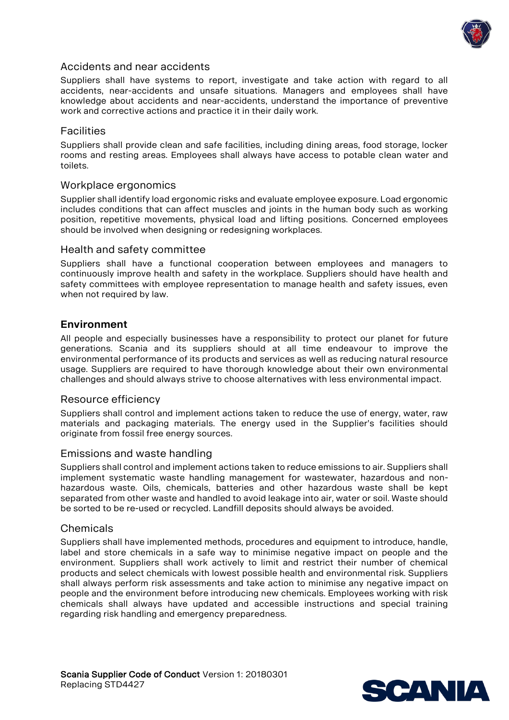

### Accidents and near accidents

Suppliers shall have systems to report, investigate and take action with regard to all accidents, near-accidents and unsafe situations. Managers and employees shall have knowledge about accidents and near-accidents, understand the importance of preventive work and corrective actions and practice it in their daily work.

#### **Facilities**

Suppliers shall provide clean and safe facilities, including dining areas, food storage, locker rooms and resting areas. Employees shall always have access to potable clean water and toilets.

#### Workplace ergonomics

Supplier shall identify load ergonomic risks and evaluate employee exposure. Load ergonomic includes conditions that can affect muscles and joints in the human body such as working position, repetitive movements, physical load and lifting positions. Concerned employees should be involved when designing or redesigning workplaces.

#### Health and safety committee

Suppliers shall have a functional cooperation between employees and managers to continuously improve health and safety in the workplace. Suppliers should have health and safety committees with employee representation to manage health and safety issues, even when not required by law.

#### **Environment**

All people and especially businesses have a responsibility to protect our planet for future generations. Scania and its suppliers should at all time endeavour to improve the environmental performance of its products and services as well as reducing natural resource usage. Suppliers are required to have thorough knowledge about their own environmental challenges and should always strive to choose alternatives with less environmental impact.

#### Resource efficiency

Suppliers shall control and implement actions taken to reduce the use of energy, water, raw materials and packaging materials. The energy used in the Supplier's facilities should originate from fossil free energy sources.

#### Emissions and waste handling

Suppliers shall control and implement actions taken to reduce emissions to air. Suppliers shall implement systematic waste handling management for wastewater, hazardous and nonhazardous waste. Oils, chemicals, batteries and other hazardous waste shall be kept separated from other waste and handled to avoid leakage into air, water or soil. Waste should be sorted to be re-used or recycled. Landfill deposits should always be avoided.

#### Chemicals

Suppliers shall have implemented methods, procedures and equipment to introduce, handle, label and store chemicals in a safe way to minimise negative impact on people and the environment. Suppliers shall work actively to limit and restrict their number of chemical products and select chemicals with lowest possible health and environmental risk. Suppliers shall always perform risk assessments and take action to minimise any negative impact on people and the environment before introducing new chemicals. Employees working with risk chemicals shall always have updated and accessible instructions and special training regarding risk handling and emergency preparedness.

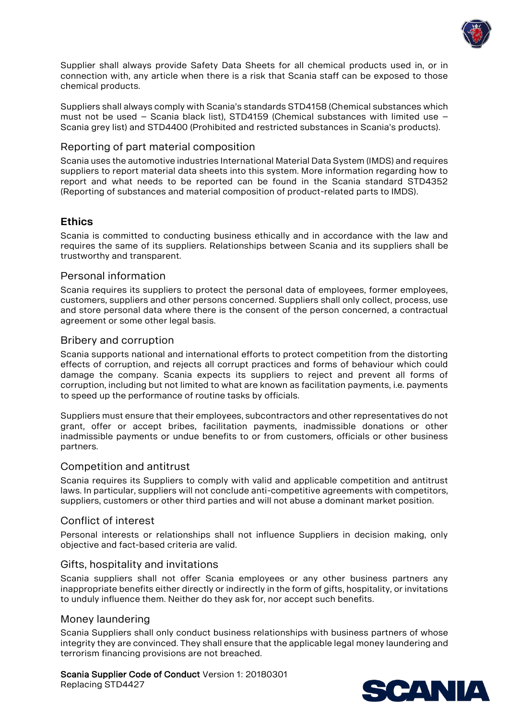

Supplier shall always provide Safety Data Sheets for all chemical products used in, or in connection with, any article when there is a risk that Scania staff can be exposed to those chemical products.

Suppliers shall always comply with Scania's standards STD4158 (Chemical substances which must not be used – Scania black list), STD4159 (Chemical substances with limited use – Scania grey list) and STD4400 (Prohibited and restricted substances in Scania's products).

## Reporting of part material composition

Scania uses the automotive industries International Material Data System (IMDS) and requires suppliers to report material data sheets into this system. More information regarding how to report and what needs to be reported can be found in the Scania standard STD4352 (Reporting of substances and material composition of product-related parts to IMDS).

# **Ethics**

Scania is committed to conducting business ethically and in accordance with the law and requires the same of its suppliers. Relationships between Scania and its suppliers shall be trustworthy and transparent.

## Personal information

Scania requires its suppliers to protect the personal data of employees, former employees, customers, suppliers and other persons concerned. Suppliers shall only collect, process, use and store personal data where there is the consent of the person concerned, a contractual agreement or some other legal basis.

## Bribery and corruption

Scania supports national and international efforts to protect competition from the distorting effects of corruption, and rejects all corrupt practices and forms of behaviour which could damage the company. Scania expects its suppliers to reject and prevent all forms of corruption, including but not limited to what are known as facilitation payments, i.e. payments to speed up the performance of routine tasks by officials.

Suppliers must ensure that their employees, subcontractors and other representatives do not grant, offer or accept bribes, facilitation payments, inadmissible donations or other inadmissible payments or undue benefits to or from customers, officials or other business partners.

#### Competition and antitrust

Scania requires its Suppliers to comply with valid and applicable competition and antitrust laws. In particular, suppliers will not conclude anti-competitive agreements with competitors, suppliers, customers or other third parties and will not abuse a dominant market position.

#### Conflict of interest

Personal interests or relationships shall not influence Suppliers in decision making, only objective and fact-based criteria are valid.

#### Gifts, hospitality and invitations

Scania suppliers shall not offer Scania employees or any other business partners any inappropriate benefits either directly or indirectly in the form of gifts, hospitality, or invitations to unduly influence them. Neither do they ask for, nor accept such benefits.

#### Money laundering

Scania Suppliers shall only conduct business relationships with business partners of whose integrity they are convinced. They shall ensure that the applicable legal money laundering and terrorism financing provisions are not breached.

# Scania Supplier Code of Conduct Version 1: 20180301

Replacing STD4427